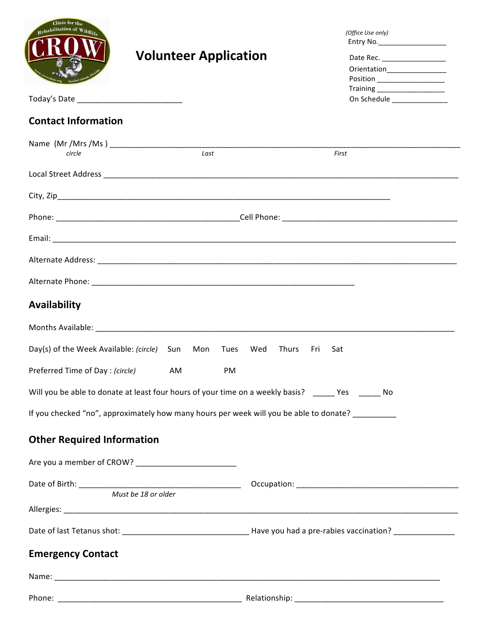| Clinic for the<br>Rehabilitation of Wildlif                                                        | <b>Volunteer Application</b>                                                                                      |                            | (Office Use only)<br>Entry No. ___________________<br>Date Rec. ___________________<br>Orientation__________________<br>Position ____________________<br>Training ______________________<br>On Schedule _______________ |  |
|----------------------------------------------------------------------------------------------------|-------------------------------------------------------------------------------------------------------------------|----------------------------|-------------------------------------------------------------------------------------------------------------------------------------------------------------------------------------------------------------------------|--|
| <b>Contact Information</b>                                                                         |                                                                                                                   |                            |                                                                                                                                                                                                                         |  |
|                                                                                                    |                                                                                                                   |                            |                                                                                                                                                                                                                         |  |
| circle                                                                                             | Last                                                                                                              | First                      |                                                                                                                                                                                                                         |  |
|                                                                                                    |                                                                                                                   |                            |                                                                                                                                                                                                                         |  |
|                                                                                                    |                                                                                                                   |                            |                                                                                                                                                                                                                         |  |
|                                                                                                    |                                                                                                                   |                            |                                                                                                                                                                                                                         |  |
|                                                                                                    |                                                                                                                   |                            |                                                                                                                                                                                                                         |  |
|                                                                                                    |                                                                                                                   |                            |                                                                                                                                                                                                                         |  |
|                                                                                                    |                                                                                                                   |                            |                                                                                                                                                                                                                         |  |
| Availability                                                                                       |                                                                                                                   |                            |                                                                                                                                                                                                                         |  |
|                                                                                                    | Months Available: Non-Maria Communication and Communication and Communication and Communication and Communication |                            |                                                                                                                                                                                                                         |  |
| Day(s) of the Week Available: (circle)                                                             | Sun<br>Mon<br>Tues                                                                                                | Wed<br>Thurs<br>Fri<br>Sat |                                                                                                                                                                                                                         |  |
| Preferred Time of Day: (circle)                                                                    | AM<br>PM                                                                                                          |                            |                                                                                                                                                                                                                         |  |
| Will you be able to donate at least four hours of your time on a weekly basis? _____ Yes ______ No |                                                                                                                   |                            |                                                                                                                                                                                                                         |  |
|                                                                                                    | If you checked "no", approximately how many hours per week will you be able to donate? _________                  |                            |                                                                                                                                                                                                                         |  |
| <b>Other Required Information</b>                                                                  |                                                                                                                   |                            |                                                                                                                                                                                                                         |  |
|                                                                                                    |                                                                                                                   |                            |                                                                                                                                                                                                                         |  |
|                                                                                                    |                                                                                                                   |                            |                                                                                                                                                                                                                         |  |
|                                                                                                    |                                                                                                                   |                            |                                                                                                                                                                                                                         |  |
|                                                                                                    |                                                                                                                   |                            |                                                                                                                                                                                                                         |  |
|                                                                                                    |                                                                                                                   |                            |                                                                                                                                                                                                                         |  |
| <b>Emergency Contact</b>                                                                           |                                                                                                                   |                            |                                                                                                                                                                                                                         |  |
|                                                                                                    |                                                                                                                   |                            |                                                                                                                                                                                                                         |  |
|                                                                                                    |                                                                                                                   |                            |                                                                                                                                                                                                                         |  |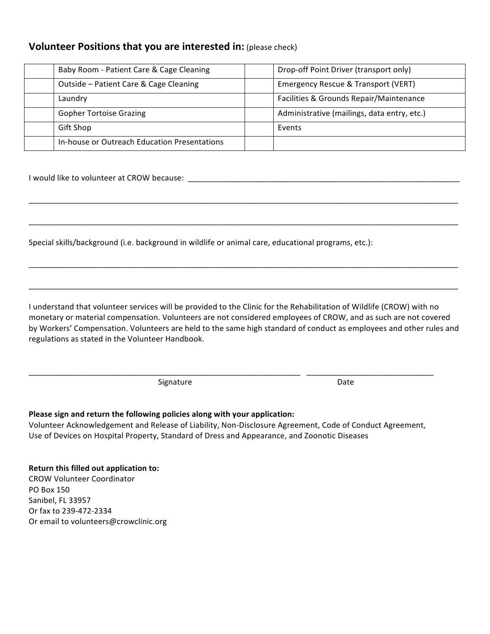### **Volunteer Positions that you are interested in: (please check)**

| Baby Room - Patient Care & Cage Cleaning     | Drop-off Point Driver (transport only)      |
|----------------------------------------------|---------------------------------------------|
| Outside - Patient Care & Cage Cleaning       | Emergency Rescue & Transport (VERT)         |
| Laundry                                      | Facilities & Grounds Repair/Maintenance     |
| <b>Gopher Tortoise Grazing</b>               | Administrative (mailings, data entry, etc.) |
| Gift Shop                                    | Events                                      |
| In-house or Outreach Education Presentations |                                             |

\_\_\_\_\_\_\_\_\_\_\_\_\_\_\_\_\_\_\_\_\_\_\_\_\_\_\_\_\_\_\_\_\_\_\_\_\_\_\_\_\_\_\_\_\_\_\_\_\_\_\_\_\_\_\_\_\_\_\_\_\_\_\_\_\_\_\_\_\_\_\_\_\_\_\_\_\_\_\_\_\_\_\_\_\_\_\_\_\_\_\_\_\_\_\_\_\_\_

\_\_\_\_\_\_\_\_\_\_\_\_\_\_\_\_\_\_\_\_\_\_\_\_\_\_\_\_\_\_\_\_\_\_\_\_\_\_\_\_\_\_\_\_\_\_\_\_\_\_\_\_\_\_\_\_\_\_\_\_\_\_\_\_\_\_\_\_\_\_\_\_\_\_\_\_\_\_\_\_\_\_\_\_\_\_\_\_\_\_\_\_\_\_\_\_\_\_

\_\_\_\_\_\_\_\_\_\_\_\_\_\_\_\_\_\_\_\_\_\_\_\_\_\_\_\_\_\_\_\_\_\_\_\_\_\_\_\_\_\_\_\_\_\_\_\_\_\_\_\_\_\_\_\_\_\_\_\_\_\_\_\_\_\_\_\_\_\_\_\_\_\_\_\_\_\_\_\_\_\_\_\_\_\_\_\_\_\_\_\_\_\_\_\_\_\_

\_\_\_\_\_\_\_\_\_\_\_\_\_\_\_\_\_\_\_\_\_\_\_\_\_\_\_\_\_\_\_\_\_\_\_\_\_\_\_\_\_\_\_\_\_\_\_\_\_\_\_\_\_\_\_\_\_\_\_\_\_\_\_\_\_\_\_\_\_\_\_\_\_\_\_\_\_\_\_\_\_\_\_\_\_\_\_\_\_\_\_\_\_\_\_\_\_\_

I would like to volunteer at CROW because: \_

Special skills/background (i.e. background in wildlife or animal care, educational programs, etc.):

I understand that volunteer services will be provided to the Clinic for the Rehabilitation of Wildlife (CROW) with no monetary or material compensation. Volunteers are not considered employees of CROW, and as such are not covered by Workers' Compensation. Volunteers are held to the same high standard of conduct as employees and other rules and regulations as stated in the Volunteer Handbook.

Signature **Community 1998** Signature **Community 1998** Date

### Please sign and return the following policies along with your application:

Volunteer Acknowledgement and Release of Liability, Non-Disclosure Agreement, Code of Conduct Agreement, Use of Devices on Hospital Property, Standard of Dress and Appearance, and Zoonotic Diseases

\_\_\_\_\_\_\_\_\_\_\_\_\_\_\_\_\_\_\_\_\_\_\_\_\_\_\_\_\_\_\_\_\_\_\_\_\_\_\_\_\_\_\_\_\_\_\_\_\_\_\_\_\_\_\_\_\_\_\_\_\_\_ \_\_\_\_\_\_\_\_\_\_\_\_\_\_\_\_\_\_\_\_\_\_\_\_\_\_\_\_\_

### **Return this filled out application to:**

CROW Volunteer Coordinator PO Box 150 Sanibel, FL 33957 Or fax to 239-472-2334 Or email to volunteers@crowclinic.org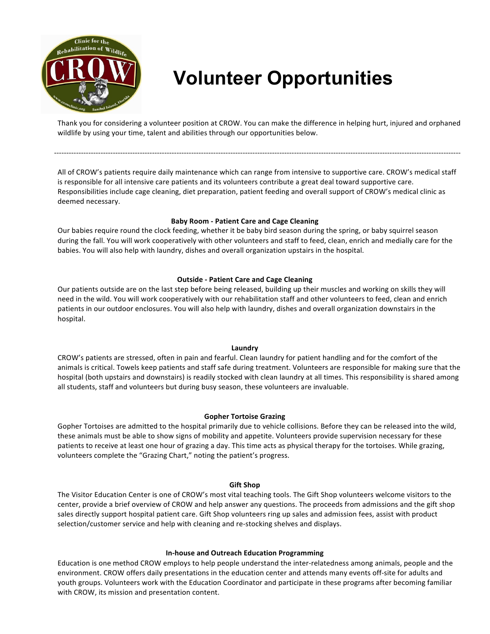

# **Volunteer Opportunities**

Thank you for considering a volunteer position at CROW. You can make the difference in helping hurt, injured and orphaned wildlife by using your time, talent and abilities through our opportunities below.

----------------------------------------------------------------------------------------------------------------------------------------------------------------------

All of CROW's patients require daily maintenance which can range from intensive to supportive care. CROW's medical staff is responsible for all intensive care patients and its volunteers contribute a great deal toward supportive care. Responsibilities include cage cleaning, diet preparation, patient feeding and overall support of CROW's medical clinic as deemed necessary.

### **Baby Room - Patient Care and Cage Cleaning**

Our babies require round the clock feeding, whether it be baby bird season during the spring, or baby squirrel season during the fall. You will work cooperatively with other volunteers and staff to feed, clean, enrich and medially care for the babies. You will also help with laundry, dishes and overall organization upstairs in the hospital.

### **Outside - Patient Care and Cage Cleaning**

Our patients outside are on the last step before being released, building up their muscles and working on skills they will need in the wild. You will work cooperatively with our rehabilitation staff and other volunteers to feed, clean and enrich patients in our outdoor enclosures. You will also help with laundry, dishes and overall organization downstairs in the hospital.

### **Laundry**

CROW's patients are stressed, often in pain and fearful. Clean laundry for patient handling and for the comfort of the animals is critical. Towels keep patients and staff safe during treatment. Volunteers are responsible for making sure that the hospital (both upstairs and downstairs) is readily stocked with clean laundry at all times. This responsibility is shared among all students, staff and volunteers but during busy season, these volunteers are invaluable.

### **Gopher Tortoise Grazing**

Gopher Tortoises are admitted to the hospital primarily due to vehicle collisions. Before they can be released into the wild, these animals must be able to show signs of mobility and appetite. Volunteers provide supervision necessary for these patients to receive at least one hour of grazing a day. This time acts as physical therapy for the tortoises. While grazing, volunteers complete the "Grazing Chart," noting the patient's progress.

### **Gift Shop**

The Visitor Education Center is one of CROW's most vital teaching tools. The Gift Shop volunteers welcome visitors to the center, provide a brief overview of CROW and help answer any questions. The proceeds from admissions and the gift shop sales directly support hospital patient care. Gift Shop volunteers ring up sales and admission fees, assist with product selection/customer service and help with cleaning and re-stocking shelves and displays.

### **In-house and Outreach Education Programming**

Education is one method CROW employs to help people understand the inter-relatedness among animals, people and the environment. CROW offers daily presentations in the education center and attends many events off-site for adults and youth groups. Volunteers work with the Education Coordinator and participate in these programs after becoming familiar with CROW, its mission and presentation content.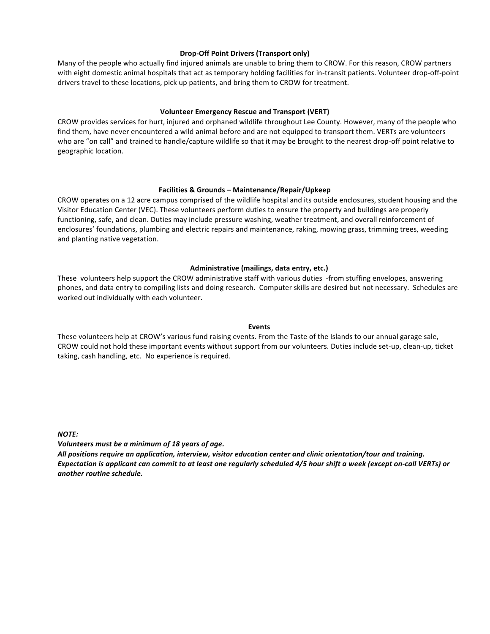### **Drop-Off Point Drivers (Transport only)**

Many of the people who actually find injured animals are unable to bring them to CROW. For this reason, CROW partners with eight domestic animal hospitals that act as temporary holding facilities for in-transit patients. Volunteer drop-off-point drivers travel to these locations, pick up patients, and bring them to CROW for treatment.

### **Volunteer Emergency Rescue and Transport (VERT)**

CROW provides services for hurt, injured and orphaned wildlife throughout Lee County. However, many of the people who find them, have never encountered a wild animal before and are not equipped to transport them. VERTs are volunteers who are "on call" and trained to handle/capture wildlife so that it may be brought to the nearest drop-off point relative to geographic location.

### **Facilities & Grounds – Maintenance/Repair/Upkeep**

CROW operates on a 12 acre campus comprised of the wildlife hospital and its outside enclosures, student housing and the Visitor Education Center (VEC). These volunteers perform duties to ensure the property and buildings are properly functioning, safe, and clean. Duties may include pressure washing, weather treatment, and overall reinforcement of enclosures' foundations, plumbing and electric repairs and maintenance, raking, mowing grass, trimming trees, weeding and planting native vegetation.

### Administrative (mailings, data entry, etc.)

These volunteers help support the CROW administrative staff with various duties -from stuffing envelopes, answering phones, and data entry to compiling lists and doing research. Computer skills are desired but not necessary. Schedules are worked out individually with each volunteer.

### **Events**

These volunteers help at CROW's various fund raising events. From the Taste of the Islands to our annual garage sale, CROW could not hold these important events without support from our volunteers. Duties include set-up, clean-up, ticket taking, cash handling, etc. No experience is required.

*NOTE:*

*Volunteers must be a minimum of 18 years of age.* 

All positions require an application, interview, visitor education center and clinic orientation/tour and training. *Expectation is applicant can commit to at least one regularly scheduled 4/5 hour shift a week (except on-call VERTs) or* another routine schedule.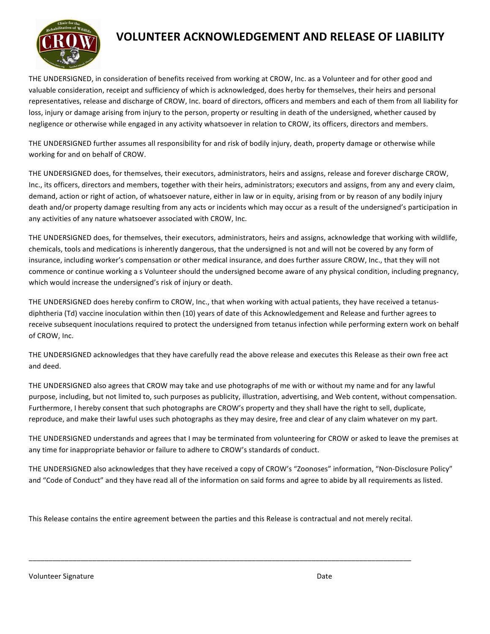

### **VOLUNTEER ACKNOWLEDGEMENT AND RELEASE OF LIABILITY**

THE UNDERSIGNED, in consideration of benefits received from working at CROW, Inc. as a Volunteer and for other good and valuable consideration, receipt and sufficiency of which is acknowledged, does herby for themselves, their heirs and personal representatives, release and discharge of CROW, Inc. board of directors, officers and members and each of them from all liability for loss, injury or damage arising from injury to the person, property or resulting in death of the undersigned, whether caused by negligence or otherwise while engaged in any activity whatsoever in relation to CROW, its officers, directors and members.

THE UNDERSIGNED further assumes all responsibility for and risk of bodily injury, death, property damage or otherwise while working for and on behalf of CROW.

THE UNDERSIGNED does, for themselves, their executors, administrators, heirs and assigns, release and forever discharge CROW, Inc., its officers, directors and members, together with their heirs, administrators; executors and assigns, from any and every claim, demand, action or right of action, of whatsoever nature, either in law or in equity, arising from or by reason of any bodily injury death and/or property damage resulting from any acts or incidents which may occur as a result of the undersigned's participation in any activities of any nature whatsoever associated with CROW, Inc.

THE UNDERSIGNED does, for themselves, their executors, administrators, heirs and assigns, acknowledge that working with wildlife, chemicals, tools and medications is inherently dangerous, that the undersigned is not and will not be covered by any form of insurance, including worker's compensation or other medical insurance, and does further assure CROW, Inc., that they will not commence or continue working a s Volunteer should the undersigned become aware of any physical condition, including pregnancy, which would increase the undersigned's risk of injury or death.

THE UNDERSIGNED does hereby confirm to CROW, Inc., that when working with actual patients, they have received a tetanusdiphtheria (Td) vaccine inoculation within then (10) years of date of this Acknowledgement and Release and further agrees to receive subsequent inoculations required to protect the undersigned from tetanus infection while performing extern work on behalf of CROW, Inc.

THE UNDERSIGNED acknowledges that they have carefully read the above release and executes this Release as their own free act and deed.

THE UNDERSIGNED also agrees that CROW may take and use photographs of me with or without my name and for any lawful purpose, including, but not limited to, such purposes as publicity, illustration, advertising, and Web content, without compensation. Furthermore, I hereby consent that such photographs are CROW's property and they shall have the right to sell, duplicate, reproduce, and make their lawful uses such photographs as they may desire, free and clear of any claim whatever on my part.

THE UNDERSIGNED understands and agrees that I may be terminated from volunteering for CROW or asked to leave the premises at any time for inappropriate behavior or failure to adhere to CROW's standards of conduct.

THE UNDERSIGNED also acknowledges that they have received a copy of CROW's "Zoonoses" information, "Non-Disclosure Policy" and "Code of Conduct" and they have read all of the information on said forms and agree to abide by all requirements as listed.

This Release contains the entire agreement between the parties and this Release is contractual and not merely recital.

\_\_\_\_\_\_\_\_\_\_\_\_\_\_\_\_\_\_\_\_\_\_\_\_\_\_\_\_\_\_\_\_\_\_\_\_\_\_\_\_\_\_\_\_\_\_\_\_\_\_\_\_\_\_\_\_\_\_\_\_\_\_\_\_\_\_\_\_\_\_\_\_\_\_\_\_\_\_\_\_\_\_\_\_\_\_\_\_\_\_\_\_\_\_\_\_

Volunteer Signature **Date** Date of Contract Contract Contract Contract Contract Contract Contract Contract Contract Contract Contract Contract Contract Contract Contract Contract Contract Contract Contract Contract Contrac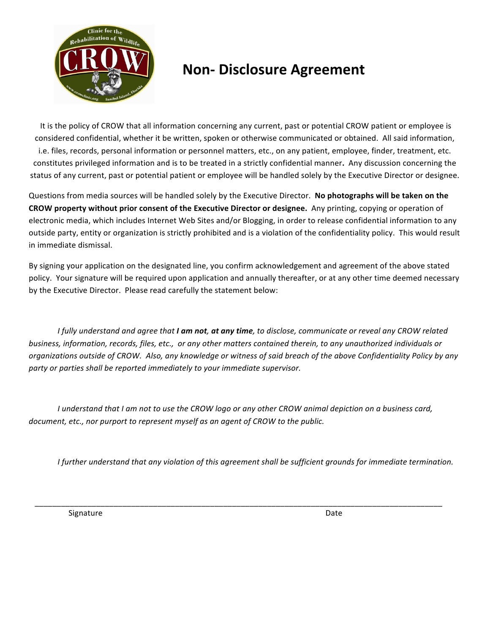

## **Non-Disclosure Agreement**

It is the policy of CROW that all information concerning any current, past or potential CROW patient or employee is considered confidential, whether it be written, spoken or otherwise communicated or obtained. All said information, i.e. files, records, personal information or personnel matters, etc., on any patient, employee, finder, treatment, etc. constitutes privileged information and is to be treated in a strictly confidential manner. Any discussion concerning the status of any current, past or potential patient or employee will be handled solely by the Executive Director or designee.

Questions from media sources will be handled solely by the Executive Director. No photographs will be taken on the **CROW** property without prior consent of the Executive Director or designee. Any printing, copying or operation of electronic media, which includes Internet Web Sites and/or Blogging, in order to release confidential information to any outside party, entity or organization is strictly prohibited and is a violation of the confidentiality policy. This would result in immediate dismissal.

By signing your application on the designated line, you confirm acknowledgement and agreement of the above stated policy. Your signature will be required upon application and annually thereafter, or at any other time deemed necessary by the Executive Director. Please read carefully the statement below:

*I* fully understand and agree that **I am not**, at any time, to disclose, communicate or reveal any CROW related *business, information, records, files, etc., or any other matters contained therein, to any unauthorized individuals or* organizations outside of CROW. Also, any knowledge or witness of said breach of the above Confidentiality Policy by any party or parties shall be reported immediately to your immediate supervisor.

*I* understand that *I* am not to use the CROW logo or any other CROW animal depiction on a business card, *document, etc., nor purport to represent myself as an agent of CROW to the public.* 

 \_\_\_\_\_\_\_\_\_\_\_\_\_\_\_\_\_\_\_\_\_\_\_\_\_\_\_\_\_\_\_\_\_\_\_\_\_\_\_\_\_\_\_\_\_\_\_\_\_\_\_\_\_\_\_\_\_\_\_\_\_\_\_\_\_\_\_\_\_\_\_\_\_\_\_\_\_\_\_\_\_\_\_\_\_\_\_\_\_\_\_\_\_

*I* further understand that any violation of this agreement shall be sufficient grounds for immediate termination.

Signature and the state of the state of the state of the state of the state of the state of the state of the state of the state of the state of the state of the state of the state of the state of the state of the state of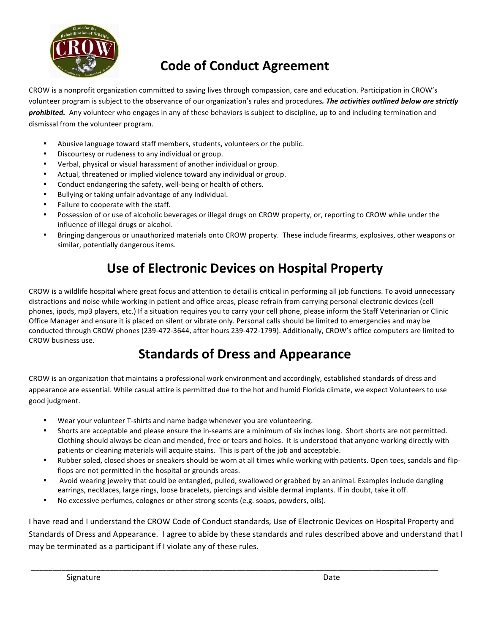

## **Code of Conduct Agreement**

CROW is a nonprofit organization committed to saving lives through compassion, care and education. Participation in CROW's volunteer program is subject to the observance of our organization's rules and procedures. The activities outlined below are strictly prohibited. Any volunteer who engages in any of these behaviors is subject to discipline, up to and including termination and dismissal from the volunteer program.

- Abusive language toward staff members, students, volunteers or the public.
- Discourtesy or rudeness to any individual or group.
- Verbal, physical or visual harassment of another individual or group.
- Actual, threatened or implied violence toward any individual or group.
- Conduct endangering the safety, well-being or health of others.
- Bullying or taking unfair advantage of any individual.
- Failure to cooperate with the staff.
- Possession of or use of alcoholic beverages or illegal drugs on CROW property, or, reporting to CROW while under the influence of illegal drugs or alcohol.
- Bringing dangerous or unauthorized materials onto CROW property. These include firearms, explosives, other weapons or similar, potentially dangerous items.

## **Use of Electronic Devices on Hospital Property**

CROW is a wildlife hospital where great focus and attention to detail is critical in performing all job functions. To avoid unnecessary distractions and noise while working in patient and office areas, please refrain from carrying personal electronic devices (cell phones, ipods, mp3 players, etc.) If a situation requires you to carry your cell phone, please inform the Staff Veterinarian or Clinic Office Manager and ensure it is placed on silent or vibrate only. Personal calls should be limited to emergencies and may be conducted through CROW phones (239-472-3644, after hours 239-472-1799). Additionally, CROW's office computers are limited to CROW business use.

## **Standards of Dress and Appearance**

CROW is an organization that maintains a professional work environment and accordingly, established standards of dress and appearance are essential. While casual attire is permitted due to the hot and humid Florida climate, we expect Volunteers to use good judgment.

- Wear your volunteer T-shirts and name badge whenever you are volunteering.
- Shorts are acceptable and please ensure the in-seams are a minimum of six inches long. Short shorts are not permitted. Clothing should always be clean and mended, free or tears and holes. It is understood that anyone working directly with patients or cleaning materials will acquire stains. This is part of the job and acceptable.
- Rubber soled, closed shoes or sneakers should be worn at all times while working with patients. Open toes, sandals and flipflops are not permitted in the hospital or grounds areas.
- Avoid wearing jewelry that could be entangled, pulled, swallowed or grabbed by an animal. Examples include dangling earrings, necklaces, large rings, loose bracelets, piercings and visible dermal implants. If in doubt, take it off.
- No excessive perfumes, colognes or other strong scents (e.g. soaps, powders, oils).

I have read and I understand the CROW Code of Conduct standards, Use of Electronic Devices on Hospital Property and Standards of Dress and Appearance. I agree to abide by these standards and rules described above and understand that I may be terminated as a participant if I violate any of these rules.

\_\_\_\_\_\_\_\_\_\_\_\_\_\_\_\_\_\_\_\_\_\_\_\_\_\_\_\_\_\_\_\_\_\_\_\_\_\_\_\_\_\_\_\_\_\_\_\_\_\_\_\_\_\_\_\_\_\_\_\_\_\_\_\_\_\_\_\_\_\_\_\_\_\_\_\_\_\_\_\_\_\_\_\_\_\_\_\_\_\_\_\_\_